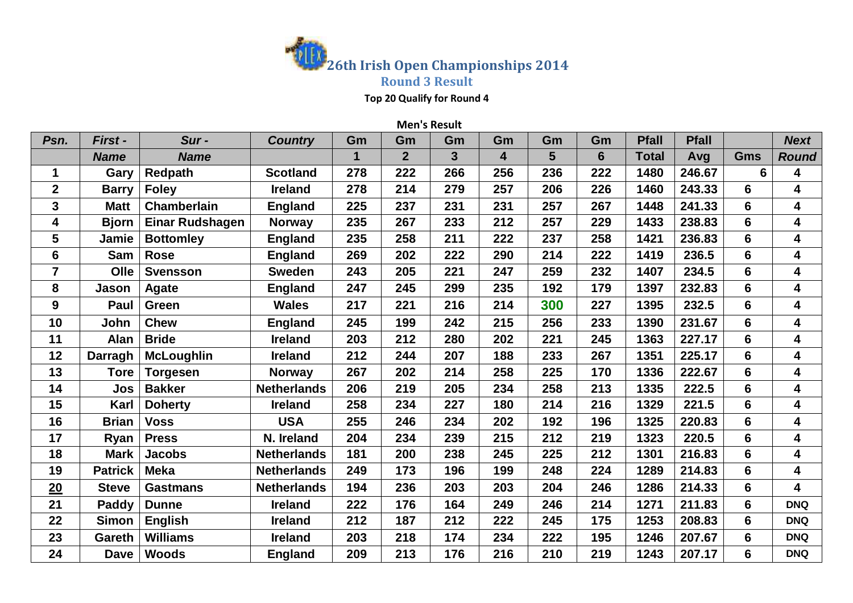

**Top 20 Qualify for Round 4**

|                         |                |                        |                    |     | <b>Men's Result</b> |                         |                         |     |     |              |              |                 |                         |
|-------------------------|----------------|------------------------|--------------------|-----|---------------------|-------------------------|-------------------------|-----|-----|--------------|--------------|-----------------|-------------------------|
| Psn.                    | First -        | Sur -                  | <b>Country</b>     | Gm  | Gm                  | Gm                      | Gm                      | Gm  | Gm  | <b>Pfall</b> | <b>Pfall</b> |                 | <b>Next</b>             |
|                         | <b>Name</b>    | <b>Name</b>            |                    | 1   | $\boldsymbol{2}$    | $\overline{\mathbf{3}}$ | $\overline{\mathbf{4}}$ | 5   | 6   | <b>Total</b> | Avg          | <b>Gms</b>      | <b>Round</b>            |
| 1                       | Gary           | Redpath                | <b>Scotland</b>    | 278 | 222                 | 266                     | 256                     | 236 | 222 | 1480         | 246.67       | 6               | 4                       |
| $\mathbf 2$             | <b>Barry</b>   | <b>Foley</b>           | <b>Ireland</b>     | 278 | 214                 | 279                     | 257                     | 206 | 226 | 1460         | 243.33       | $6\phantom{1}$  | 4                       |
| 3                       | <b>Matt</b>    | Chamberlain            | <b>England</b>     | 225 | 237                 | 231                     | 231                     | 257 | 267 | 1448         | 241.33       | $6\phantom{a}$  | $\overline{\mathbf{4}}$ |
| 4                       | <b>Bjorn</b>   | <b>Einar Rudshagen</b> | <b>Norway</b>      | 235 | 267                 | 233                     | 212                     | 257 | 229 | 1433         | 238.83       | $6\phantom{1}$  | 4                       |
| 5                       | Jamie          | <b>Bottomley</b>       | <b>England</b>     | 235 | 258                 | 211                     | 222                     | 237 | 258 | 1421         | 236.83       | 6               | 4                       |
| $6\phantom{1}$          | Sam            | <b>Rose</b>            | <b>England</b>     | 269 | 202                 | 222                     | 290                     | 214 | 222 | 1419         | 236.5        | $6\phantom{a}$  | 4                       |
| $\overline{\mathbf{7}}$ | Olle           | <b>Svensson</b>        | <b>Sweden</b>      | 243 | 205                 | 221                     | 247                     | 259 | 232 | 1407         | 234.5        | $6\phantom{a}$  | 4                       |
| 8                       | Jason          | <b>Agate</b>           | <b>England</b>     | 247 | 245                 | 299                     | 235                     | 192 | 179 | 1397         | 232.83       | $6\phantom{1}$  | $\overline{\mathbf{4}}$ |
| $\boldsymbol{9}$        | Paul           | Green                  | <b>Wales</b>       | 217 | 221                 | 216                     | 214                     | 300 | 227 | 1395         | 232.5        | 6               | 4                       |
| 10                      | John           | <b>Chew</b>            | <b>England</b>     | 245 | 199                 | 242                     | 215                     | 256 | 233 | 1390         | 231.67       | 6               | 4                       |
| 11                      | Alan           | <b>Bride</b>           | <b>Ireland</b>     | 203 | 212                 | 280                     | 202                     | 221 | 245 | 1363         | 227.17       | $6\phantom{a}$  | 4                       |
| 12                      | Darragh        | <b>McLoughlin</b>      | <b>Ireland</b>     | 212 | 244                 | 207                     | 188                     | 233 | 267 | 1351         | 225.17       | $6\phantom{1}$  | $\overline{\mathbf{4}}$ |
| 13                      | <b>Tore</b>    | <b>Torgesen</b>        | <b>Norway</b>      | 267 | 202                 | 214                     | 258                     | 225 | 170 | 1336         | 222.67       | $6\phantom{a}$  | 4                       |
| 14                      | Jos            | <b>Bakker</b>          | <b>Netherlands</b> | 206 | 219                 | 205                     | 234                     | 258 | 213 | 1335         | 222.5        | $6\phantom{a}$  | 4                       |
| 15                      | Karl           | <b>Doherty</b>         | <b>Ireland</b>     | 258 | 234                 | 227                     | 180                     | 214 | 216 | 1329         | 221.5        | $6\phantom{1}$  | 4                       |
| 16                      | <b>Brian</b>   | <b>Voss</b>            | <b>USA</b>         | 255 | 246                 | 234                     | 202                     | 192 | 196 | 1325         | 220.83       | $6\phantom{a}$  | 4                       |
| 17                      | Ryan           | <b>Press</b>           | N. Ireland         | 204 | 234                 | 239                     | 215                     | 212 | 219 | 1323         | 220.5        | $6\phantom{1}$  | 4                       |
| 18                      | <b>Mark</b>    | <b>Jacobs</b>          | <b>Netherlands</b> | 181 | 200                 | 238                     | 245                     | 225 | 212 | 1301         | 216.83       | $6\phantom{1}$  | 4                       |
| 19                      | <b>Patrick</b> | <b>Meka</b>            | <b>Netherlands</b> | 249 | 173                 | 196                     | 199                     | 248 | 224 | 1289         | 214.83       | 6               | 4                       |
| 20                      | <b>Steve</b>   | <b>Gastmans</b>        | <b>Netherlands</b> | 194 | 236                 | 203                     | 203                     | 204 | 246 | 1286         | 214.33       | $6\phantom{1}$  | $\overline{\mathbf{4}}$ |
| 21                      | Paddy          | <b>Dunne</b>           | <b>Ireland</b>     | 222 | 176                 | 164                     | 249                     | 246 | 214 | 1271         | 211.83       | 6               | <b>DNQ</b>              |
| 22                      | <b>Simon</b>   | <b>English</b>         | <b>Ireland</b>     | 212 | 187                 | 212                     | 222                     | 245 | 175 | 1253         | 208.83       | 6               | <b>DNQ</b>              |
| 23                      | <b>Gareth</b>  | <b>Williams</b>        | <b>Ireland</b>     | 203 | 218                 | 174                     | 234                     | 222 | 195 | 1246         | 207.67       | $6\phantom{1}6$ | <b>DNQ</b>              |
| 24                      | <b>Dave</b>    | <b>Woods</b>           | <b>England</b>     | 209 | 213                 | 176                     | 216                     | 210 | 219 | 1243         | 207.17       | $6\phantom{a}$  | <b>DNQ</b>              |